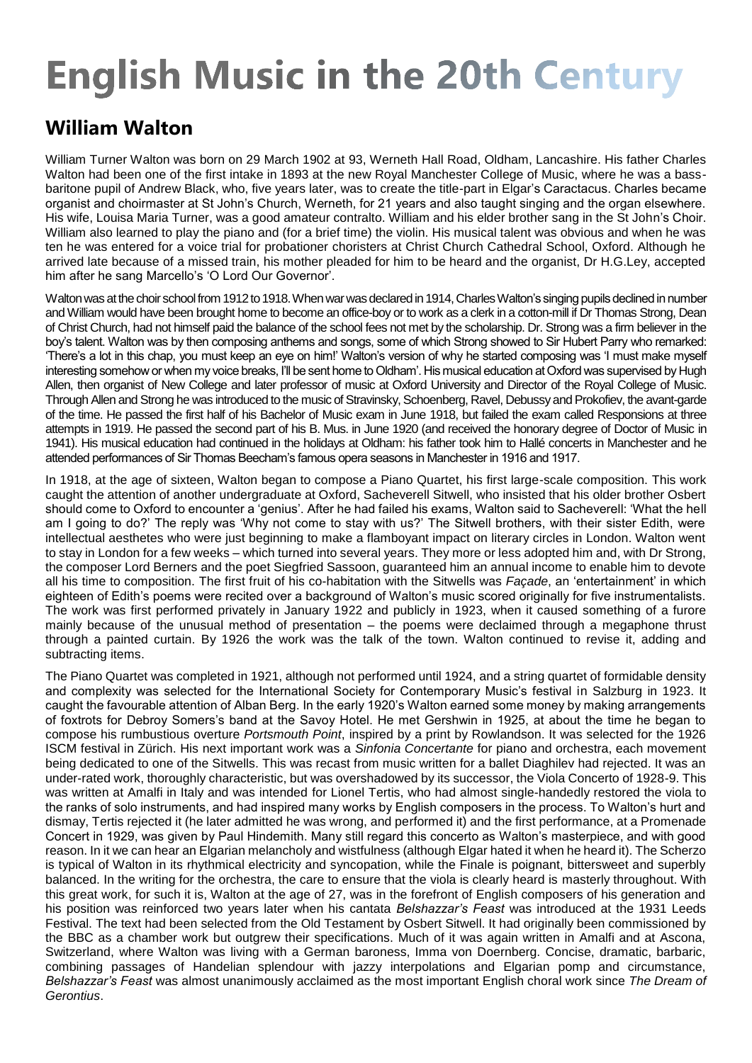## **English Music in the 20th Century**

## **William Walton**

William Turner Walton was born on 29 March 1902 at 93, Werneth Hall Road, Oldham, Lancashire. His father Charles Walton had been one of the first intake in 1893 at the new Royal Manchester College of Music, where he was a bassbaritone pupil of Andrew Black, who, five years later, was to create the title-part in Elgar's Caractacus. Charles became organist and choirmaster at St John's Church, Werneth, for 21 years and also taught singing and the organ elsewhere. His wife, Louisa Maria Turner, was a good amateur contralto. William and his elder brother sang in the St John's Choir. William also learned to play the piano and (for a brief time) the violin. His musical talent was obvious and when he was ten he was entered for a voice trial for probationer choristers at Christ Church Cathedral School, Oxford. Although he arrived late because of a missed train, his mother pleaded for him to be heard and the organist, Dr H.G.Ley, accepted him after he sang Marcello's 'O Lord Our Governor'.

Walton was at the choir school from 1912 to 1918. When war was declared in 1914, Charles Walton's singing pupils declined in number and William would have been brought home to become an office-boy or to work as a clerk in a cotton-mill if Dr Thomas Strong, Dean of Christ Church, had not himself paid the balance of the school fees not met by the scholarship. Dr. Strong was a firm believer in the boy's talent. Walton was by then composing anthems and songs, some of which Strong showed to Sir Hubert Parry who remarked: 'There's a lot in this chap, you must keep an eye on him!' Walton's version of why he started composing was 'I must make myself interesting somehow or when my voice breaks, I'll be sent home to Oldham'. His musical education at Oxford was supervised by Hugh Allen, then organist of New College and later professor of music at Oxford University and Director of the Royal College of Music. Through Allen and Strong he was introduced to the music of Stravinsky, Schoenberg, Ravel, Debussy and Prokofiev, the avant-garde of the time. He passed the first half of his Bachelor of Music exam in June 1918, but failed the exam called Responsions at three attempts in 1919. He passed the second part of his B. Mus. in June 1920 (and received the honorary degree of Doctor of Music in 1941). His musical education had continued in the holidays at Oldham: his father took him to Hallé concerts in Manchester and he attended performances of Sir Thomas Beecham's famous opera seasons in Manchester in 1916 and 1917.

In 1918, at the age of sixteen, Walton began to compose a Piano Quartet, his first large-scale composition. This work caught the attention of another undergraduate at Oxford, Sacheverell Sitwell, who insisted that his older brother Osbert should come to Oxford to encounter a 'genius'. After he had failed his exams, Walton said to Sacheverell: 'What the hell am I going to do?' The reply was 'Why not come to stay with us?' The Sitwell brothers, with their sister Edith, were intellectual aesthetes who were just beginning to make a flamboyant impact on literary circles in London. Walton went to stay in London for a few weeks – which turned into several years. They more or less adopted him and, with Dr Strong, the composer Lord Berners and the poet Siegfried Sassoon, guaranteed him an annual income to enable him to devote all his time to composition. The first fruit of his co-habitation with the Sitwells was *Façade*, an 'entertainment' in which eighteen of Edith's poems were recited over a background of Walton's music scored originally for five instrumentalists. The work was first performed privately in January 1922 and publicly in 1923, when it caused something of a furore mainly because of the unusual method of presentation – the poems were declaimed through a megaphone thrust through a painted curtain. By 1926 the work was the talk of the town. Walton continued to revise it, adding and subtracting items.

The Piano Quartet was completed in 1921, although not performed until 1924, and a string quartet of formidable density and complexity was selected for the International Society for Contemporary Music's festival in Salzburg in 1923. It caught the favourable attention of Alban Berg. In the early 1920's Walton earned some money by making arrangements of foxtrots for Debroy Somers's band at the Savoy Hotel. He met Gershwin in 1925, at about the time he began to compose his rumbustious overture *Portsmouth Point*, inspired by a print by Rowlandson. It was selected for the 1926 ISCM festival in Zürich. His next important work was a *Sinfonia Concertante* for piano and orchestra, each movement being dedicated to one of the Sitwells. This was recast from music written for a ballet Diaghilev had rejected. It was an under-rated work, thoroughly characteristic, but was overshadowed by its successor, the Viola Concerto of 1928-9. This was written at Amalfi in Italy and was intended for Lionel Tertis, who had almost single-handedly restored the viola to the ranks of solo instruments, and had inspired many works by English composers in the process. To Walton's hurt and dismay, Tertis rejected it (he later admitted he was wrong, and performed it) and the first performance, at a Promenade Concert in 1929, was given by Paul Hindemith. Many still regard this concerto as Walton's masterpiece, and with good reason. In it we can hear an Elgarian melancholy and wistfulness (although Elgar hated it when he heard it). The Scherzo is typical of Walton in its rhythmical electricity and syncopation, while the Finale is poignant, bittersweet and superbly balanced. In the writing for the orchestra, the care to ensure that the viola is clearly heard is masterly throughout. With this great work, for such it is, Walton at the age of 27, was in the forefront of English composers of his generation and his position was reinforced two years later when his cantata *Belshazzar's Feast* was introduced at the 1931 Leeds Festival. The text had been selected from the Old Testament by Osbert Sitwell. It had originally been commissioned by the BBC as a chamber work but outgrew their specifications. Much of it was again written in Amalfi and at Ascona, Switzerland, where Walton was living with a German baroness, Imma von Doernberg. Concise, dramatic, barbaric, combining passages of Handelian splendour with jazzy interpolations and Elgarian pomp and circumstance, *Belshazzar's Feast* was almost unanimously acclaimed as the most important English choral work since *The Dream of Gerontius*.